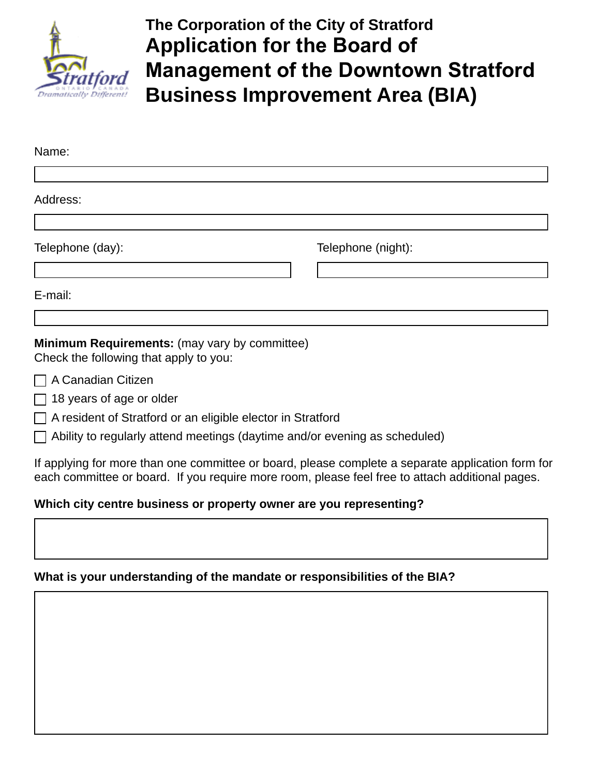

# **The Corporation of the City of Stratford Application for the Board of Management of the Downtown Stratford Business Improvement Area (BIA)**

| Name:                                                                                   |                    |
|-----------------------------------------------------------------------------------------|--------------------|
|                                                                                         |                    |
| Address:                                                                                |                    |
|                                                                                         |                    |
| Telephone (day):                                                                        | Telephone (night): |
|                                                                                         |                    |
| E-mail:                                                                                 |                    |
|                                                                                         |                    |
| Minimum Requirements: (may vary by committee)<br>Check the following that apply to you: |                    |
| $\Box$ A Canadian Citizen                                                               |                    |
| $\Box$ 18 years of age or older                                                         |                    |

□ A resident of Stratford or an eligible elector in Stratford

 $\Box$  Ability to regularly attend meetings (daytime and/or evening as scheduled)

If applying for more than one committee or board, please complete a separate application form for each committee or board. If you require more room, please feel free to attach additional pages.

#### **Which city centre business or property owner are you representing?**

#### **What is your understanding of the mandate or responsibilities of the BIA?**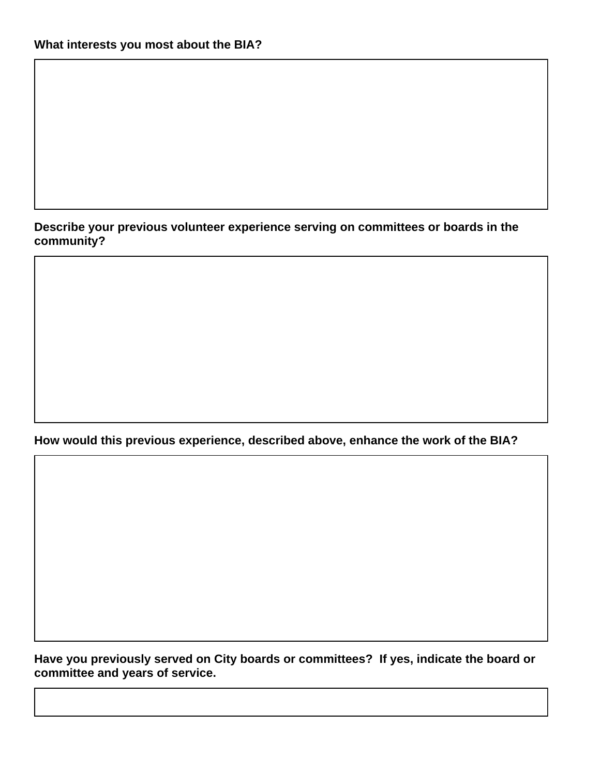#### **Describe your previous volunteer experience serving on committees or boards in the community?**

**How would this previous experience, described above, enhance the work of the BIA?**

**Have you previously served on City boards or committees? If yes, indicate the board or committee and years of service.**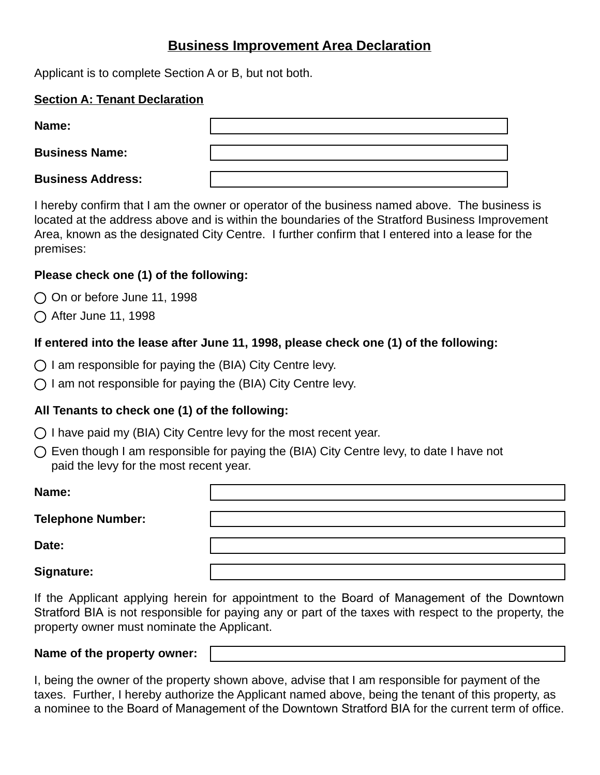# **Business Improvement Area Declaration**

Applicant is to complete Section A or B, but not both.

#### **Section A: Tenant Declaration**

| Name:                    |  |
|--------------------------|--|
| <b>Business Name:</b>    |  |
| <b>Business Address:</b> |  |

I hereby confirm that I am the owner or operator of the business named above. The business is located at the address above and is within the boundaries of the Stratford Business Improvement Area, known as the designated City Centre. I further confirm that I entered into a lease for the premises:

## **Please check one (1) of the following:**

- $\bigcirc$  On or before June 11, 1998
- ◯ After June 11, 1998

# **If entered into the lease after June 11, 1998, please check one (1) of the following:**

- $\bigcirc$  I am responsible for paying the (BIA) City Centre levy.
- $\bigcirc$  I am not responsible for paying the (BIA) City Centre levy.

# **All Tenants to check one (1) of the following:**

- $\bigcap$  I have paid my (BIA) City Centre levy for the most recent year.
- $\bigcirc$  Even though I am responsible for paying the (BIA) City Centre levy, to date I have not paid the levy for the most recent year.

**Name: Telephone Number: Date: Signature:**

If the Applicant applying herein for appointment to the Board of Management of the Downtown Stratford BIA is not responsible for paying any or part of the taxes with respect to the property, the property owner must nominate the Applicant.

#### **Name of the property owner:**

I, being the owner of the property shown above, advise that I am responsible for payment of the taxes. Further, I hereby authorize the Applicant named above, being the tenant of this property, as a nominee to the Board of Management of the Downtown Stratford BIA for the current term of office.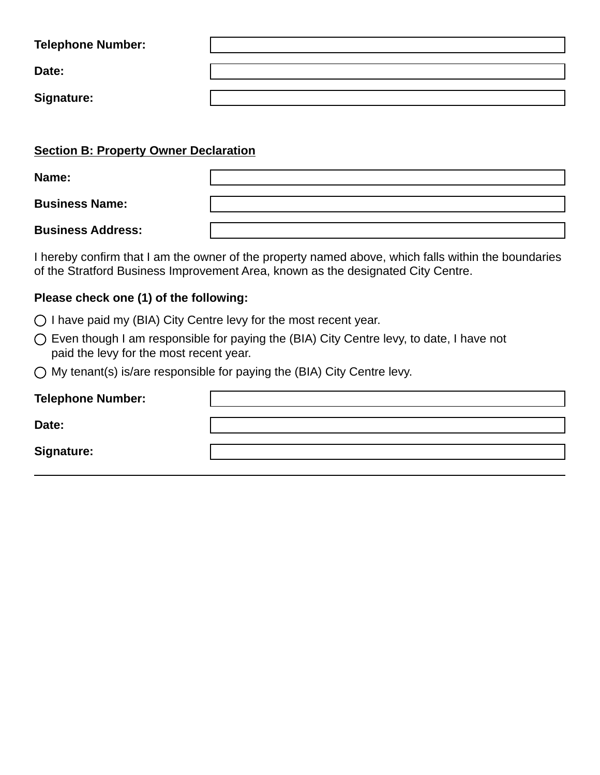| <b>Telephone Number:</b> |  |
|--------------------------|--|
| Date:                    |  |
| <b>Signature:</b>        |  |

|  |  | <b>Section B: Property Owner Declaration</b> |  |
|--|--|----------------------------------------------|--|
|  |  |                                              |  |

| Name:                 |  |
|-----------------------|--|
|                       |  |
| <b>Business Name:</b> |  |

**Business Address:**

I hereby confirm that I am the owner of the property named above, which falls within the boundaries of the Stratford Business Improvement Area, known as the designated City Centre.

### **Please check one (1) of the following:**

- $\bigcirc$  I have paid my (BIA) City Centre levy for the most recent year.
- Even though I am responsible for paying the (BIA) City Centre levy, to date, I have not paid the levy for the most recent year.
- $\bigcirc$  My tenant(s) is/are responsible for paying the (BIA) City Centre levy.

| <b>Telephone Number:</b> |  |
|--------------------------|--|
| Date:                    |  |
| <b>Signature:</b>        |  |
|                          |  |